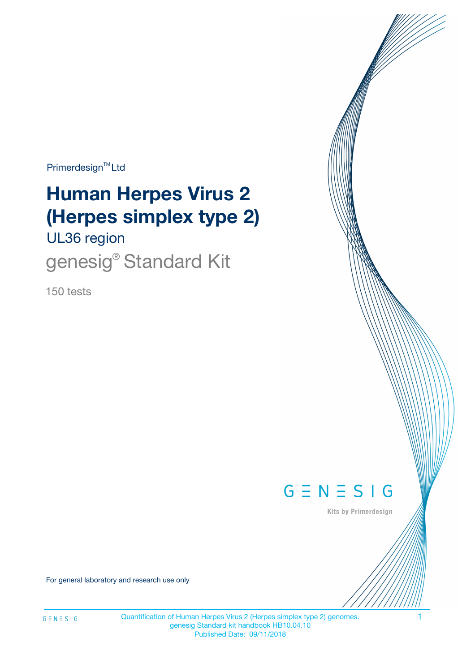Primerdesign<sup>™</sup>Ltd

# **Human Herpes Virus 2 (Herpes simplex type 2)**

UL36 region

genesig<sup>®</sup> Standard Kit

150 tests



Kits by Primerdesign

For general laboratory and research use only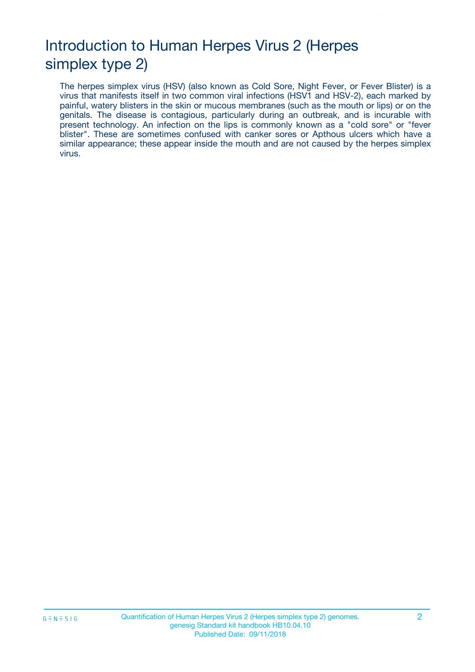# Introduction to Human Herpes Virus 2 (Herpes simplex type 2)

The herpes simplex virus (HSV) (also known as Cold Sore, Night Fever, or Fever Blister) is a virus that manifests itself in two common viral infections (HSV1 and HSV-2), each marked by painful, watery blisters in the skin or mucous membranes (such as the mouth or lips) or on the genitals. The disease is contagious, particularly during an outbreak, and is incurable with present technology. An infection on the lips is commonly known as a "cold sore" or "fever blister". These are sometimes confused with canker sores or Apthous ulcers which have a similar appearance; these appear inside the mouth and are not caused by the herpes simplex virus.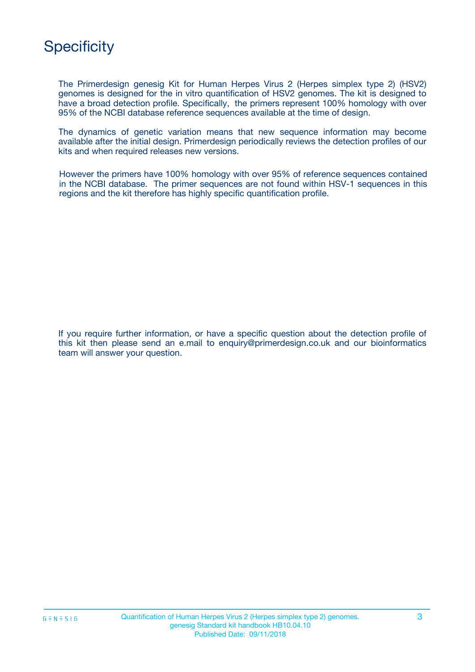

The Primerdesign genesig Kit for Human Herpes Virus 2 (Herpes simplex type 2) (HSV2) genomes is designed for the in vitro quantification of HSV2 genomes. The kit is designed to have a broad detection profile. Specifically, the primers represent 100% homology with over 95% of the NCBI database reference sequences available at the time of design.

The dynamics of genetic variation means that new sequence information may become available after the initial design. Primerdesign periodically reviews the detection profiles of our kits and when required releases new versions.

However the primers have 100% homology with over 95% of reference sequences contained in the NCBI database. The primer sequences are not found within HSV-1 sequences in this regions and the kit therefore has highly specific quantification profile.

If you require further information, or have a specific question about the detection profile of this kit then please send an e.mail to enquiry@primerdesign.co.uk and our bioinformatics team will answer your question.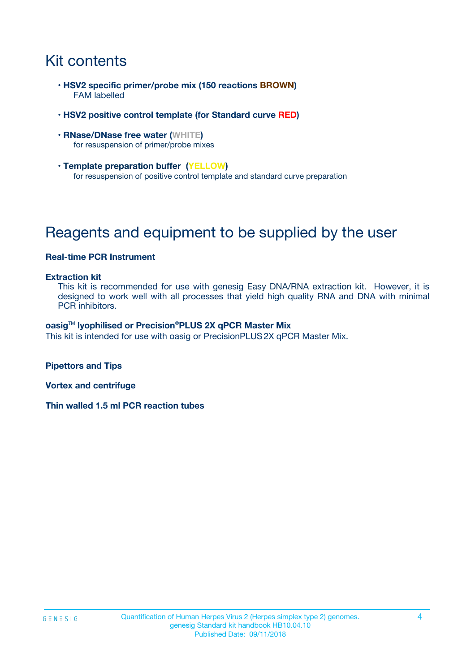# Kit contents

- **HSV2 specific primer/probe mix (150 reactions BROWN)** FAM labelled
- **HSV2 positive control template (for Standard curve RED)**
- **RNase/DNase free water (WHITE)** for resuspension of primer/probe mixes
- **Template preparation buffer (YELLOW)** for resuspension of positive control template and standard curve preparation

# Reagents and equipment to be supplied by the user

#### **Real-time PCR Instrument**

#### **Extraction kit**

This kit is recommended for use with genesig Easy DNA/RNA extraction kit. However, it is designed to work well with all processes that yield high quality RNA and DNA with minimal PCR inhibitors.

#### **oasig**TM **lyophilised or Precision**®**PLUS 2X qPCR Master Mix**

This kit is intended for use with oasig or PrecisionPLUS2X qPCR Master Mix.

**Pipettors and Tips**

**Vortex and centrifuge**

**Thin walled 1.5 ml PCR reaction tubes**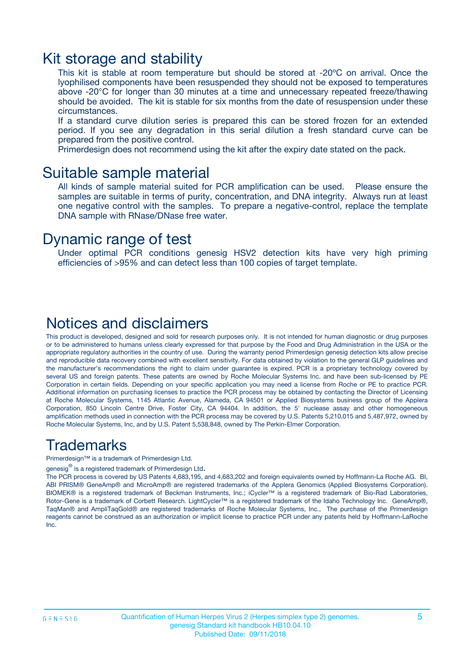### Kit storage and stability

This kit is stable at room temperature but should be stored at -20ºC on arrival. Once the lyophilised components have been resuspended they should not be exposed to temperatures above -20°C for longer than 30 minutes at a time and unnecessary repeated freeze/thawing should be avoided. The kit is stable for six months from the date of resuspension under these circumstances.

If a standard curve dilution series is prepared this can be stored frozen for an extended period. If you see any degradation in this serial dilution a fresh standard curve can be prepared from the positive control.

Primerdesign does not recommend using the kit after the expiry date stated on the pack.

### Suitable sample material

All kinds of sample material suited for PCR amplification can be used. Please ensure the samples are suitable in terms of purity, concentration, and DNA integrity. Always run at least one negative control with the samples. To prepare a negative-control, replace the template DNA sample with RNase/DNase free water.

### Dynamic range of test

Under optimal PCR conditions genesig HSV2 detection kits have very high priming efficiencies of >95% and can detect less than 100 copies of target template.

### Notices and disclaimers

This product is developed, designed and sold for research purposes only. It is not intended for human diagnostic or drug purposes or to be administered to humans unless clearly expressed for that purpose by the Food and Drug Administration in the USA or the appropriate regulatory authorities in the country of use. During the warranty period Primerdesign genesig detection kits allow precise and reproducible data recovery combined with excellent sensitivity. For data obtained by violation to the general GLP guidelines and the manufacturer's recommendations the right to claim under guarantee is expired. PCR is a proprietary technology covered by several US and foreign patents. These patents are owned by Roche Molecular Systems Inc. and have been sub-licensed by PE Corporation in certain fields. Depending on your specific application you may need a license from Roche or PE to practice PCR. Additional information on purchasing licenses to practice the PCR process may be obtained by contacting the Director of Licensing at Roche Molecular Systems, 1145 Atlantic Avenue, Alameda, CA 94501 or Applied Biosystems business group of the Applera Corporation, 850 Lincoln Centre Drive, Foster City, CA 94404. In addition, the 5' nuclease assay and other homogeneous amplification methods used in connection with the PCR process may be covered by U.S. Patents 5,210,015 and 5,487,972, owned by Roche Molecular Systems, Inc, and by U.S. Patent 5,538,848, owned by The Perkin-Elmer Corporation.

### Trademarks

Primerdesign™ is a trademark of Primerdesign Ltd.

genesig $^\circledR$  is a registered trademark of Primerdesign Ltd.

The PCR process is covered by US Patents 4,683,195, and 4,683,202 and foreign equivalents owned by Hoffmann-La Roche AG. BI, ABI PRISM® GeneAmp® and MicroAmp® are registered trademarks of the Applera Genomics (Applied Biosystems Corporation). BIOMEK® is a registered trademark of Beckman Instruments, Inc.; iCycler™ is a registered trademark of Bio-Rad Laboratories, Rotor-Gene is a trademark of Corbett Research. LightCycler™ is a registered trademark of the Idaho Technology Inc. GeneAmp®, TaqMan® and AmpliTaqGold® are registered trademarks of Roche Molecular Systems, Inc., The purchase of the Primerdesign reagents cannot be construed as an authorization or implicit license to practice PCR under any patents held by Hoffmann-LaRoche Inc.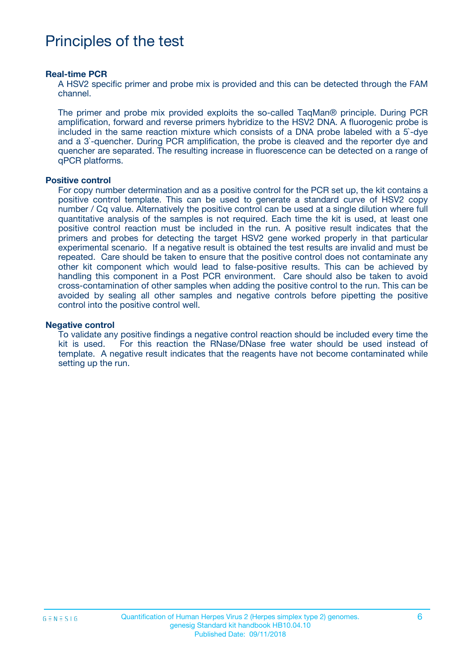## Principles of the test

#### **Real-time PCR**

A HSV2 specific primer and probe mix is provided and this can be detected through the FAM channel.

The primer and probe mix provided exploits the so-called TaqMan® principle. During PCR amplification, forward and reverse primers hybridize to the HSV2 DNA. A fluorogenic probe is included in the same reaction mixture which consists of a DNA probe labeled with a 5`-dye and a 3`-quencher. During PCR amplification, the probe is cleaved and the reporter dye and quencher are separated. The resulting increase in fluorescence can be detected on a range of qPCR platforms.

#### **Positive control**

For copy number determination and as a positive control for the PCR set up, the kit contains a positive control template. This can be used to generate a standard curve of HSV2 copy number / Cq value. Alternatively the positive control can be used at a single dilution where full quantitative analysis of the samples is not required. Each time the kit is used, at least one positive control reaction must be included in the run. A positive result indicates that the primers and probes for detecting the target HSV2 gene worked properly in that particular experimental scenario. If a negative result is obtained the test results are invalid and must be repeated. Care should be taken to ensure that the positive control does not contaminate any other kit component which would lead to false-positive results. This can be achieved by handling this component in a Post PCR environment. Care should also be taken to avoid cross-contamination of other samples when adding the positive control to the run. This can be avoided by sealing all other samples and negative controls before pipetting the positive control into the positive control well.

#### **Negative control**

To validate any positive findings a negative control reaction should be included every time the kit is used. For this reaction the RNase/DNase free water should be used instead of template. A negative result indicates that the reagents have not become contaminated while setting up the run.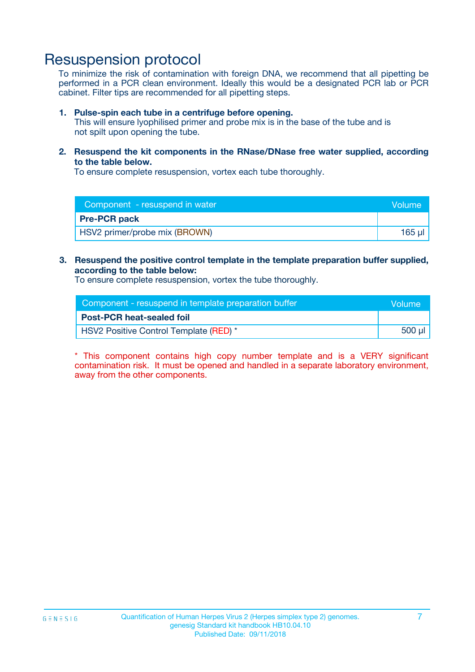### Resuspension protocol

To minimize the risk of contamination with foreign DNA, we recommend that all pipetting be performed in a PCR clean environment. Ideally this would be a designated PCR lab or PCR cabinet. Filter tips are recommended for all pipetting steps.

#### **1. Pulse-spin each tube in a centrifuge before opening.**

This will ensure lyophilised primer and probe mix is in the base of the tube and is not spilt upon opening the tube.

**2. Resuspend the kit components in the RNase/DNase free water supplied, according to the table below.**

To ensure complete resuspension, vortex each tube thoroughly.

| Component - resuspend in water | Volume    |
|--------------------------------|-----------|
| <b>Pre-PCR pack</b>            |           |
| HSV2 primer/probe mix (BROWN)  | $165 \mu$ |

### **3. Resuspend the positive control template in the template preparation buffer supplied, according to the table below:**

To ensure complete resuspension, vortex the tube thoroughly.

| Component - resuspend in template preparation buffer | lVolume' |
|------------------------------------------------------|----------|
| <b>Post-PCR heat-sealed foil</b>                     |          |
| HSV2 Positive Control Template (RED) *               | 500 µl   |

\* This component contains high copy number template and is a VERY significant contamination risk. It must be opened and handled in a separate laboratory environment, away from the other components.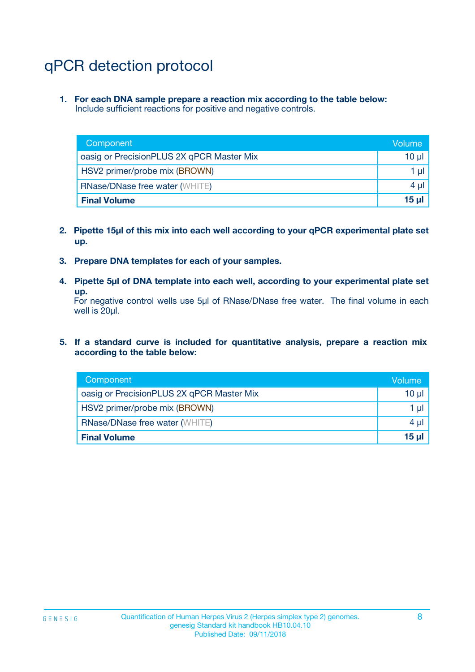# qPCR detection protocol

**1. For each DNA sample prepare a reaction mix according to the table below:** Include sufficient reactions for positive and negative controls.

| Component                                 | Volume          |
|-------------------------------------------|-----------------|
| oasig or PrecisionPLUS 2X qPCR Master Mix | 10 $\mu$        |
| HSV2 primer/probe mix (BROWN)             | 1 $\mu$         |
| <b>RNase/DNase free water (WHITE)</b>     | $4 \mu$         |
| <b>Final Volume</b>                       | 15 <sub>µ</sub> |

- **2. Pipette 15µl of this mix into each well according to your qPCR experimental plate set up.**
- **3. Prepare DNA templates for each of your samples.**
- **4. Pipette 5µl of DNA template into each well, according to your experimental plate set up.**

For negative control wells use 5µl of RNase/DNase free water. The final volume in each well is 20µl.

**5. If a standard curve is included for quantitative analysis, prepare a reaction mix according to the table below:**

| Component                                 | Volume     |
|-------------------------------------------|------------|
| oasig or PrecisionPLUS 2X qPCR Master Mix | $10 \mu$   |
| HSV2 primer/probe mix (BROWN)             | 1 µI       |
| <b>RNase/DNase free water (WHITE)</b>     | $4 \mu$    |
| <b>Final Volume</b>                       | $15$ $\mu$ |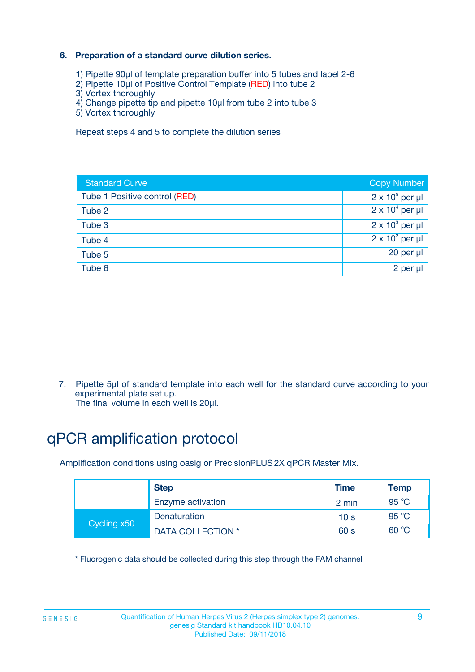### **6. Preparation of a standard curve dilution series.**

- 1) Pipette 90µl of template preparation buffer into 5 tubes and label 2-6
- 2) Pipette 10µl of Positive Control Template (RED) into tube 2
- 3) Vortex thoroughly
- 4) Change pipette tip and pipette 10µl from tube 2 into tube 3
- 5) Vortex thoroughly

Repeat steps 4 and 5 to complete the dilution series

| <b>Standard Curve</b>         | <b>Copy Number</b>     |
|-------------------------------|------------------------|
| Tube 1 Positive control (RED) | $2 \times 10^5$ per µl |
| Tube 2                        | $2 \times 10^4$ per µl |
| Tube 3                        | $2 \times 10^3$ per µl |
| Tube 4                        | $2 \times 10^2$ per µl |
| Tube 5                        | 20 per µl              |
| Tube 6                        | $2$ per $\mu$          |

7. Pipette 5µl of standard template into each well for the standard curve according to your experimental plate set up.

The final volume in each well is 20µl.

# qPCR amplification protocol

Amplification conditions using oasig or PrecisionPLUS2X qPCR Master Mix.

|             | <b>Step</b>       | <b>Time</b>     | Temp    |
|-------------|-------------------|-----------------|---------|
|             | Enzyme activation | 2 min           | 95 °C   |
| Cycling x50 | Denaturation      | 10 <sub>s</sub> | 95 $°C$ |
|             | DATA COLLECTION * | 60 s            | 60 °C   |

\* Fluorogenic data should be collected during this step through the FAM channel